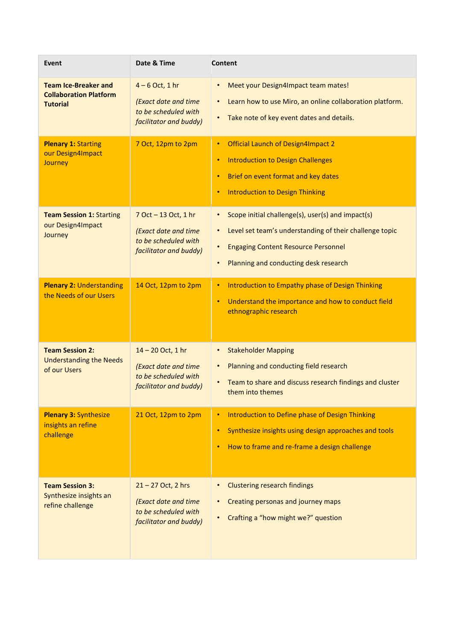| Event                                                                           | Date & Time                                                                                    | <b>Content</b>                                                                                                                                                                                                                             |
|---------------------------------------------------------------------------------|------------------------------------------------------------------------------------------------|--------------------------------------------------------------------------------------------------------------------------------------------------------------------------------------------------------------------------------------------|
| <b>Team Ice-Breaker and</b><br><b>Collaboration Platform</b><br><b>Tutorial</b> | $4-6$ Oct, 1 hr<br>(Exact date and time<br>to be scheduled with<br>facilitator and buddy)      | Meet your Design4Impact team mates!<br>$\bullet$<br>Learn how to use Miro, an online collaboration platform.<br>$\bullet$<br>Take note of key event dates and details.                                                                     |
| <b>Plenary 1: Starting</b><br>our Design4Impact<br><b>Journey</b>               | 7 Oct, 12pm to 2pm                                                                             | Official Launch of Design4Impact 2<br>$\bullet$<br><b>Introduction to Design Challenges</b><br>$\bullet$<br>Brief on event format and key dates<br>$\bullet$<br><b>Introduction to Design Thinking</b><br>$\bullet$                        |
| <b>Team Session 1: Starting</b><br>our Design4Impact<br>Journey                 | 7 Oct - 13 Oct, 1 hr<br>(Exact date and time<br>to be scheduled with<br>facilitator and buddy) | Scope initial challenge(s), user(s) and impact(s)<br>$\bullet$<br>Level set team's understanding of their challenge topic<br>$\bullet$<br><b>Engaging Content Resource Personnel</b><br>$\bullet$<br>Planning and conducting desk research |
| <b>Plenary 2: Understanding</b><br>the Needs of our Users                       | 14 Oct, 12pm to 2pm                                                                            | Introduction to Empathy phase of Design Thinking<br>$\bullet$<br>Understand the importance and how to conduct field<br>$\bullet$<br>ethnographic research                                                                                  |
| <b>Team Session 2:</b><br><b>Understanding the Needs</b><br>of our Users        | 14 - 20 Oct, 1 hr<br>(Exact date and time<br>to be scheduled with<br>facilitator and buddy)    | <b>Stakeholder Mapping</b><br>$\bullet$<br>Planning and conducting field research<br>$\bullet$<br>Team to share and discuss research findings and cluster<br>them into themes                                                              |
| <b>Plenary 3: Synthesize</b><br>insights an refine<br>challenge                 | 21 Oct, 12pm to 2pm                                                                            | <b>Introduction to Define phase of Design Thinking</b><br>Synthesize insights using design approaches and tools<br>$\bullet$<br>How to frame and re-frame a design challenge<br>$\bullet$                                                  |
| <b>Team Session 3:</b><br>Synthesize insights an<br>refine challenge            | 21-27 Oct, 2 hrs<br>(Exact date and time<br>to be scheduled with<br>facilitator and buddy)     | <b>Clustering research findings</b><br>Creating personas and journey maps<br>٠<br>Crafting a "how might we?" question<br>$\bullet$                                                                                                         |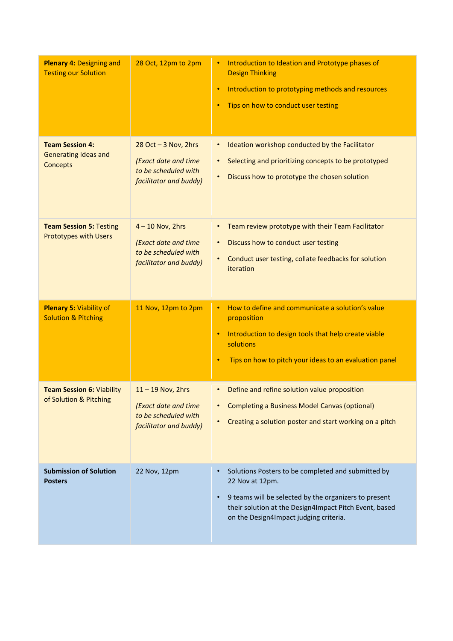| <b>Plenary 4: Designing and</b><br><b>Testing our Solution</b>           | 28 Oct, 12pm to 2pm                                                                               | Introduction to Ideation and Prototype phases of<br>$\bullet$<br><b>Design Thinking</b><br>Introduction to prototyping methods and resources<br>$\bullet$<br>Tips on how to conduct user testing<br>$\bullet$                                                |
|--------------------------------------------------------------------------|---------------------------------------------------------------------------------------------------|--------------------------------------------------------------------------------------------------------------------------------------------------------------------------------------------------------------------------------------------------------------|
| <b>Team Session 4:</b><br><b>Generating Ideas and</b><br><b>Concepts</b> | $28$ Oct $-3$ Nov, 2hrs<br>(Exact date and time<br>to be scheduled with<br>facilitator and buddy) | Ideation workshop conducted by the Facilitator<br>$\bullet$<br>Selecting and prioritizing concepts to be prototyped<br>$\bullet$<br>Discuss how to prototype the chosen solution<br>$\bullet$                                                                |
| <b>Team Session 5: Testing</b><br><b>Prototypes with Users</b>           | $4 - 10$ Nov, 2hrs<br>(Exact date and time<br>to be scheduled with<br>facilitator and buddy)      | Team review prototype with their Team Facilitator<br>Discuss how to conduct user testing<br>$\bullet$<br>Conduct user testing, collate feedbacks for solution<br>$\bullet$<br>iteration                                                                      |
| <b>Plenary 5: Viability of</b><br><b>Solution &amp; Pitching</b>         | 11 Nov, 12pm to 2pm                                                                               | How to define and communicate a solution's value<br>$\bullet$<br>proposition<br>Introduction to design tools that help create viable<br>$\bullet$<br>solutions<br>Tips on how to pitch your ideas to an evaluation panel<br>٠                                |
| <b>Team Session 6: Viability</b><br>of Solution & Pitching               | $11 - 19$ Nov, 2hrs<br>(Exact date and time<br>to be scheduled with<br>facilitator and buddy)     | Define and refine solution value proposition<br>$\bullet$<br><b>Completing a Business Model Canvas (optional)</b><br>Creating a solution poster and start working on a pitch                                                                                 |
| <b>Submission of Solution</b><br><b>Posters</b>                          | 22 Nov, 12pm                                                                                      | Solutions Posters to be completed and submitted by<br>$\bullet$<br>22 Nov at 12pm.<br>9 teams will be selected by the organizers to present<br>$\bullet$<br>their solution at the Design4Impact Pitch Event, based<br>on the Design4Impact judging criteria. |